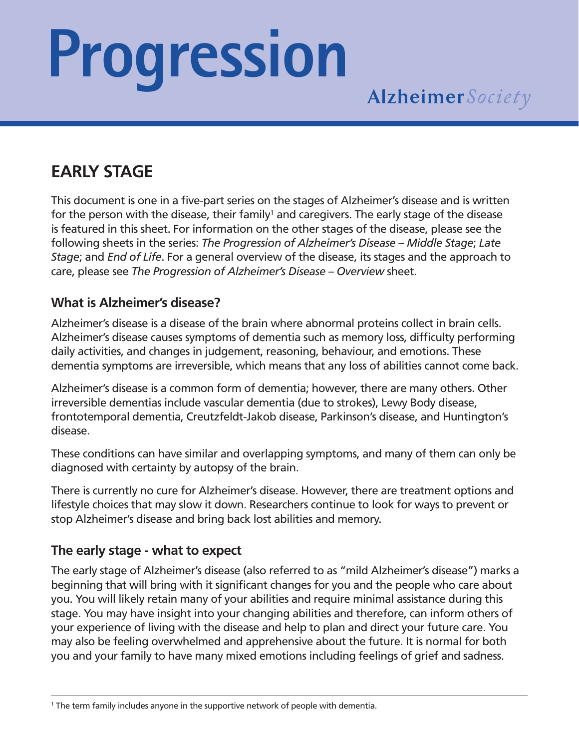# **Progression**

# **EARLY STAGE**

This document is one in a five-part series on the stages of Alzheimer's disease and is written for the person with the disease, their family<sup>1</sup> and caregivers. The early stage of the disease is featured in this sheet. For information on the other stages of the disease, please see the following sheets in the series: *The Progression of Alzheimer's Disease* – *Middle Stage*; *Late Stage*; and *End of Life*. For a general overview of the disease, its stages and the approach to care, please see *The Progression of Alzheimer's Disease – Overview* sheet.

### **What is Alzheimer's disease?**

Alzheimer's disease is a disease of the brain where abnormal proteins collect in brain cells. Alzheimer's disease causes symptoms of dementia such as memory loss, difficulty performing daily activities, and changes in judgement, reasoning, behaviour, and emotions. These dementia symptoms are irreversible, which means that any loss of abilities cannot come back.

Alzheimer's disease is a common form of dementia; however, there are many others. Other irreversible dementias include vascular dementia (due to strokes), Lewy Body disease, frontotemporal dementia, Creutzfeldt-Jakob disease, Parkinson's disease, and Huntington's disease.

These conditions can have similar and overlapping symptoms, and many of them can only be diagnosed with certainty by autopsy of the brain.

There is currently no cure for Alzheimer's disease. However, there are treatment options and lifestyle choices that may slow it down. Researchers continue to look for ways to prevent or stop Alzheimer's disease and bring back lost abilities and memory.

# **The early stage - what to expect**

The early stage of Alzheimer's disease (also referred to as "mild Alzheimer's disease") marks a beginning that will bring with it significant changes for you and the people who care about you. You will likely retain many of your abilities and require minimal assistance during this stage. You may have insight into your changing abilities and therefore, can inform others of your experience of living with the disease and help to plan and direct your future care. You may also be feeling overwhelmed and apprehensive about the future. It is normal for both you and your family to have many mixed emotions including feelings of grief and sadness.

<sup>1</sup> The term family includes anyone in the supportive network of people with dementia.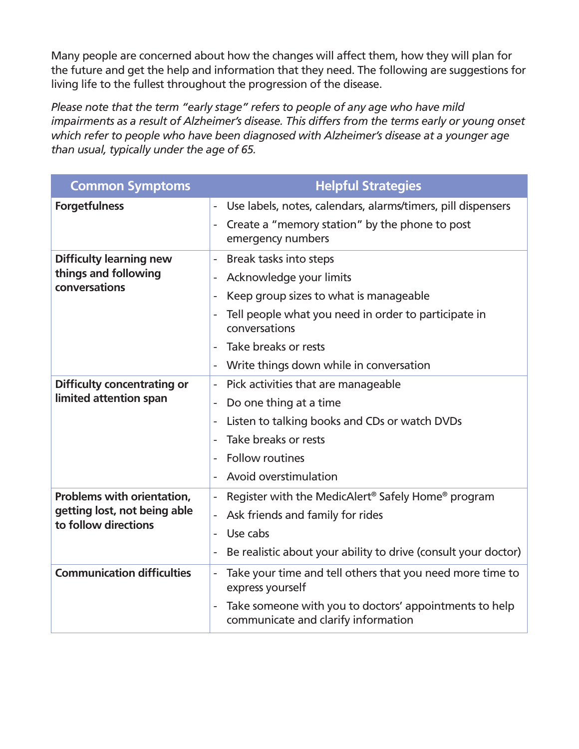Many people are concerned about how the changes will affect them, how they will plan for the future and get the help and information that they need. The following are suggestions for living life to the fullest throughout the progression of the disease.

*Please note that the term "early stage" refers to people of any age who have mild impairments as a result of Alzheimer's disease. This differs from the terms early or young onset which refer to people who have been diagnosed with Alzheimer's disease at a younger age than usual, typically under the age of 65.*

| <b>Common Symptoms</b>                                                             | <b>Helpful Strategies</b>                                                                     |
|------------------------------------------------------------------------------------|-----------------------------------------------------------------------------------------------|
| <b>Forgetfulness</b>                                                               | Use labels, notes, calendars, alarms/timers, pill dispensers<br>$\overline{\phantom{a}}$      |
|                                                                                    | Create a "memory station" by the phone to post<br>emergency numbers                           |
| <b>Difficulty learning new</b><br>things and following<br>conversations            | Break tasks into steps<br>$\blacksquare$                                                      |
|                                                                                    | Acknowledge your limits                                                                       |
|                                                                                    | Keep group sizes to what is manageable<br>$\overline{\phantom{a}}$                            |
|                                                                                    | Tell people what you need in order to participate in<br>conversations                         |
|                                                                                    | Take breaks or rests                                                                          |
|                                                                                    | Write things down while in conversation<br>$\overline{\phantom{a}}$                           |
| <b>Difficulty concentrating or</b><br>limited attention span                       | Pick activities that are manageable<br>$\overline{\phantom{a}}$                               |
|                                                                                    | Do one thing at a time                                                                        |
|                                                                                    | Listen to talking books and CDs or watch DVDs                                                 |
|                                                                                    | Take breaks or rests                                                                          |
|                                                                                    | <b>Follow routines</b>                                                                        |
|                                                                                    | Avoid overstimulation                                                                         |
| Problems with orientation,<br>getting lost, not being able<br>to follow directions | Register with the MedicAlert <sup>®</sup> Safely Home <sup>®</sup> program                    |
|                                                                                    | Ask friends and family for rides<br>÷,                                                        |
|                                                                                    | Use cabs<br>$\overline{a}$                                                                    |
|                                                                                    | Be realistic about your ability to drive (consult your doctor)                                |
| <b>Communication difficulties</b>                                                  | Take your time and tell others that you need more time to<br>ä,<br>express yourself           |
|                                                                                    | Take someone with you to doctors' appointments to help<br>communicate and clarify information |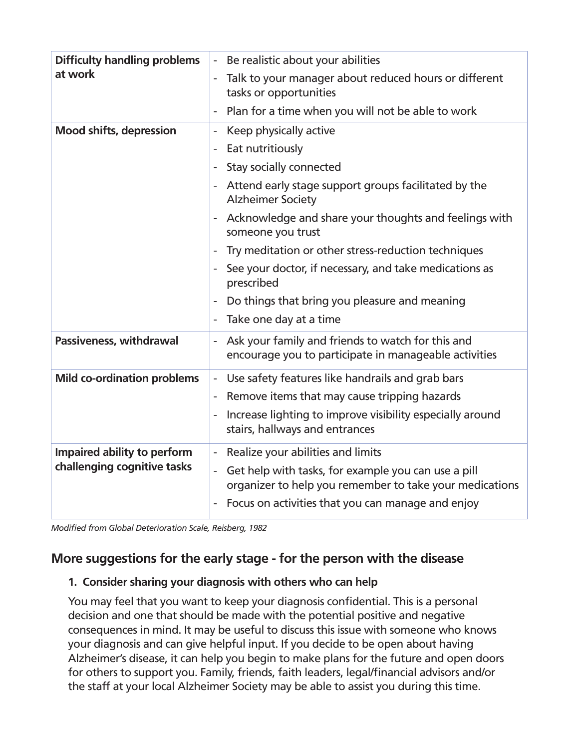| <b>Difficulty handling problems</b>                        | Be realistic about your abilities<br>÷,                                                                                      |
|------------------------------------------------------------|------------------------------------------------------------------------------------------------------------------------------|
| at work                                                    | Talk to your manager about reduced hours or different<br>tasks or opportunities                                              |
|                                                            | Plan for a time when you will not be able to work                                                                            |
| <b>Mood shifts, depression</b>                             | Keep physically active<br>$\overline{\phantom{a}}$                                                                           |
|                                                            | Eat nutritiously                                                                                                             |
|                                                            | Stay socially connected<br>÷,                                                                                                |
|                                                            | Attend early stage support groups facilitated by the<br><b>Alzheimer Society</b>                                             |
|                                                            | Acknowledge and share your thoughts and feelings with<br>someone you trust                                                   |
|                                                            | Try meditation or other stress-reduction techniques                                                                          |
|                                                            | See your doctor, if necessary, and take medications as<br>prescribed                                                         |
|                                                            | Do things that bring you pleasure and meaning                                                                                |
|                                                            | Take one day at a time                                                                                                       |
| Passiveness, withdrawal                                    | Ask your family and friends to watch for this and<br>$\blacksquare$<br>encourage you to participate in manageable activities |
| <b>Mild co-ordination problems</b>                         | Use safety features like handrails and grab bars<br>$\blacksquare$                                                           |
|                                                            | Remove items that may cause tripping hazards<br>$\overline{\phantom{a}}$                                                     |
|                                                            | Increase lighting to improve visibility especially around<br>stairs, hallways and entrances                                  |
| Impaired ability to perform<br>challenging cognitive tasks | Realize your abilities and limits                                                                                            |
|                                                            | Get help with tasks, for example you can use a pill<br>÷,<br>organizer to help you remember to take your medications         |
|                                                            | Focus on activities that you can manage and enjoy                                                                            |

*Modified from Global Deterioration Scale, Reisberg, 1982*

#### **More suggestions for the early stage - for the person with the disease**

#### **1. Consider sharing your diagnosis with others who can help**

You may feel that you want to keep your diagnosis confidential. This is a personal decision and one that should be made with the potential positive and negative consequences in mind. It may be useful to discuss this issue with someone who knows your diagnosis and can give helpful input. If you decide to be open about having Alzheimer's disease, it can help you begin to make plans for the future and open doors for others to support you. Family, friends, faith leaders, legal/financial advisors and/or the staff at your local Alzheimer Society may be able to assist you during this time.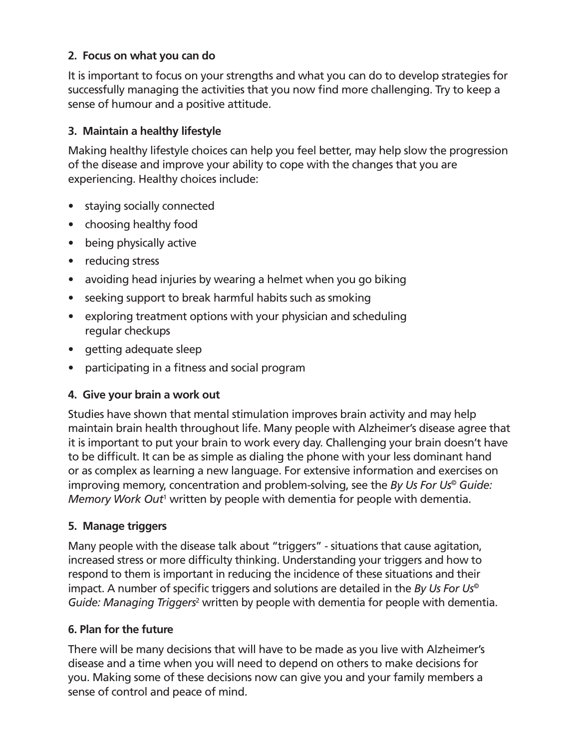#### **2. Focus on what you can do**

It is important to focus on your strengths and what you can do to develop strategies for successfully managing the activities that you now find more challenging. Try to keep a sense of humour and a positive attitude.

#### **3. Maintain a healthy lifestyle**

Making healthy lifestyle choices can help you feel better, may help slow the progression of the disease and improve your ability to cope with the changes that you are experiencing. Healthy choices include:

- staying socially connected
- choosing healthy food
- being physically active
- reducing stress
- avoiding head injuries by wearing a helmet when you go biking
- seeking support to break harmful habits such as smoking
- exploring treatment options with your physician and scheduling regular checkups
- getting adequate sleep
- participating in a fitness and social program

#### **4. Give your brain a work out**

Studies have shown that mental stimulation improves brain activity and may help maintain brain health throughout life. Many people with Alzheimer's disease agree that it is important to put your brain to work every day. Challenging your brain doesn't have to be difficult. It can be as simple as dialing the phone with your less dominant hand or as complex as learning a new language. For extensive information and exercises on improving memory, concentration and problem-solving, see the *By Us For Us© Guide:*  Memory Work Out<sup>1</sup> written by people with dementia for people with dementia.

#### **5. Manage triggers**

Many people with the disease talk about "triggers" - situations that cause agitation, increased stress or more difficulty thinking. Understanding your triggers and how to respond to them is important in reducing the incidence of these situations and their impact. A number of specific triggers and solutions are detailed in the *By Us For Us©* Guide: Managing Triggers<sup>2</sup> written by people with dementia for people with dementia.

#### **6. Plan for the future**

There will be many decisions that will have to be made as you live with Alzheimer's disease and a time when you will need to depend on others to make decisions for you. Making some of these decisions now can give you and your family members a sense of control and peace of mind.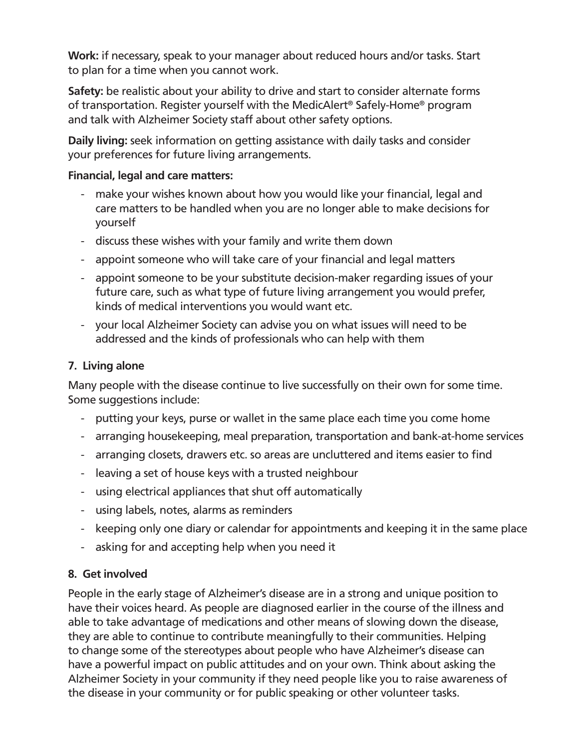**Work:** if necessary, speak to your manager about reduced hours and/or tasks. Start to plan for a time when you cannot work.

**Safety:** be realistic about your ability to drive and start to consider alternate forms of transportation. Register yourself with the MedicAlert® Safely-Home® program and talk with Alzheimer Society staff about other safety options.

**Daily living:** seek information on getting assistance with daily tasks and consider your preferences for future living arrangements.

#### **Financial, legal and care matters:**

- make your wishes known about how you would like your financial, legal and care matters to be handled when you are no longer able to make decisions for yourself
- discuss these wishes with your family and write them down
- appoint someone who will take care of your financial and legal matters
- appoint someone to be your substitute decision-maker regarding issues of your future care, such as what type of future living arrangement you would prefer, kinds of medical interventions you would want etc.
- your local Alzheimer Society can advise you on what issues will need to be addressed and the kinds of professionals who can help with them

#### **7. Living alone**

Many people with the disease continue to live successfully on their own for some time. Some suggestions include:

- putting your keys, purse or wallet in the same place each time you come home
- arranging housekeeping, meal preparation, transportation and bank-at-home services
- arranging closets, drawers etc. so areas are uncluttered and items easier to find
- leaving a set of house keys with a trusted neighbour
- using electrical appliances that shut off automatically
- using labels, notes, alarms as reminders
- keeping only one diary or calendar for appointments and keeping it in the same place
- asking for and accepting help when you need it

#### **8. Get involved**

People in the early stage of Alzheimer's disease are in a strong and unique position to have their voices heard. As people are diagnosed earlier in the course of the illness and able to take advantage of medications and other means of slowing down the disease, they are able to continue to contribute meaningfully to their communities. Helping to change some of the stereotypes about people who have Alzheimer's disease can have a powerful impact on public attitudes and on your own. Think about asking the Alzheimer Society in your community if they need people like you to raise awareness of the disease in your community or for public speaking or other volunteer tasks.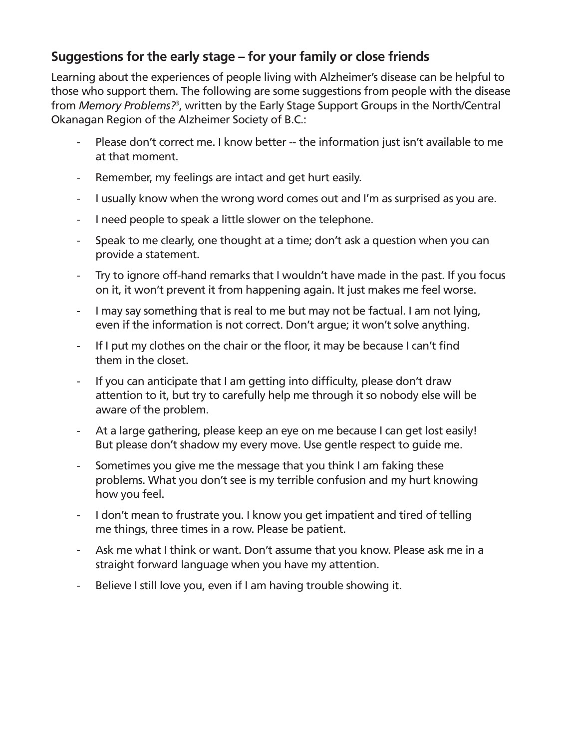# **Suggestions for the early stage – for your family or close friends**

Learning about the experiences of people living with Alzheimer's disease can be helpful to those who support them. The following are some suggestions from people with the disease from *Memory Problems?*<sup>3</sup> , written by the Early Stage Support Groups in the North/Central Okanagan Region of the Alzheimer Society of B.C.:

- Please don't correct me. I know better -- the information just isn't available to me at that moment.
- Remember, my feelings are intact and get hurt easily.
- I usually know when the wrong word comes out and I'm as surprised as you are.
- I need people to speak a little slower on the telephone.
- Speak to me clearly, one thought at a time; don't ask a question when you can provide a statement.
- Try to ignore off-hand remarks that I wouldn't have made in the past. If you focus on it, it won't prevent it from happening again. It just makes me feel worse.
- I may say something that is real to me but may not be factual. I am not lying, even if the information is not correct. Don't argue; it won't solve anything.
- If I put my clothes on the chair or the floor, it may be because I can't find them in the closet.
- If you can anticipate that I am getting into difficulty, please don't draw attention to it, but try to carefully help me through it so nobody else will be aware of the problem.
- At a large gathering, please keep an eye on me because I can get lost easily! But please don't shadow my every move. Use gentle respect to guide me.
- Sometimes you give me the message that you think I am faking these problems. What you don't see is my terrible confusion and my hurt knowing how you feel.
- I don't mean to frustrate you. I know you get impatient and tired of telling me things, three times in a row. Please be patient.
- Ask me what I think or want. Don't assume that you know. Please ask me in a straight forward language when you have my attention.
- Believe I still love you, even if I am having trouble showing it.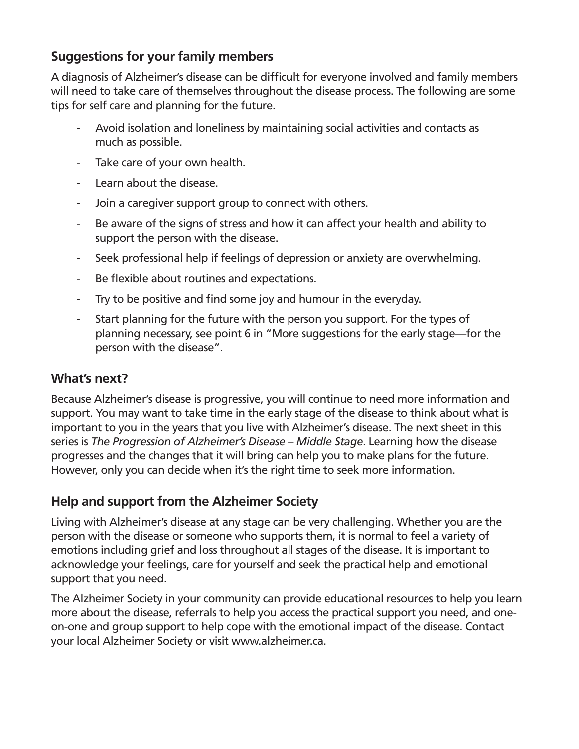## **Suggestions for your family members**

A diagnosis of Alzheimer's disease can be difficult for everyone involved and family members will need to take care of themselves throughout the disease process. The following are some tips for self care and planning for the future.

- Avoid isolation and loneliness by maintaining social activities and contacts as much as possible.
- Take care of your own health.
- Learn about the disease.
- Join a caregiver support group to connect with others.
- Be aware of the signs of stress and how it can affect your health and ability to support the person with the disease.
- Seek professional help if feelings of depression or anxiety are overwhelming.
- Be flexible about routines and expectations.
- Try to be positive and find some joy and humour in the everyday.
- Start planning for the future with the person you support. For the types of planning necessary, see point 6 in "More suggestions for the early stage—for the person with the disease".

# **What's next?**

Because Alzheimer's disease is progressive, you will continue to need more information and support. You may want to take time in the early stage of the disease to think about what is important to you in the years that you live with Alzheimer's disease. The next sheet in this series is *The Progression of Alzheimer's Disease – Middle Stage*. Learning how the disease progresses and the changes that it will bring can help you to make plans for the future. However, only you can decide when it's the right time to seek more information.

# **Help and support from the Alzheimer Society**

Living with Alzheimer's disease at any stage can be very challenging. Whether you are the person with the disease or someone who supports them, it is normal to feel a variety of emotions including grief and loss throughout all stages of the disease. It is important to acknowledge your feelings, care for yourself and seek the practical help and emotional support that you need.

The Alzheimer Society in your community can provide educational resources to help you learn more about the disease, referrals to help you access the practical support you need, and oneon-one and group support to help cope with the emotional impact of the disease. Contact your local Alzheimer Society or visit www.alzheimer.ca.